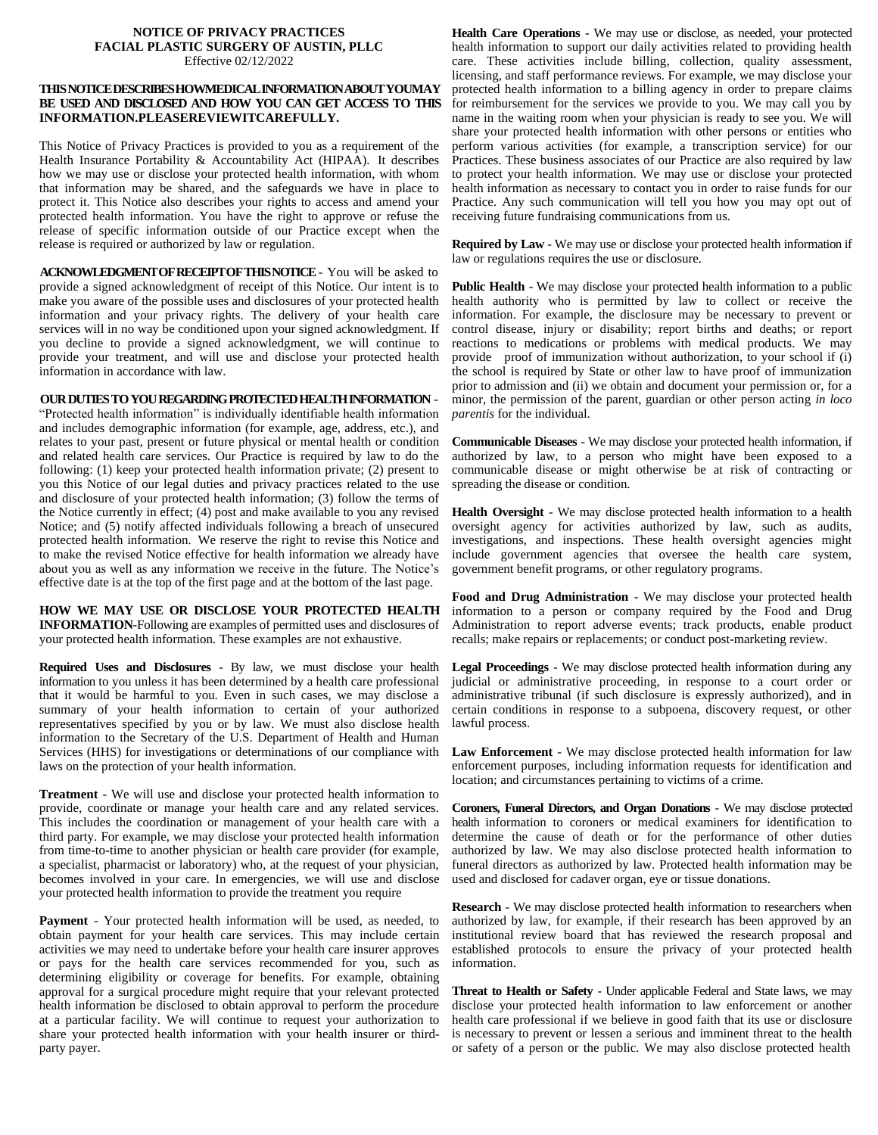## **NOTICE OF PRIVACY PRACTICES FACIAL PLASTIC SURGERY OF AUSTIN, PLLC** Effective 02/12/2022

## **THISNOTICEDESCRIBESHOWMEDICALINFORMATIONABOUTYOUMAY BE USED AND DISCLOSED AND HOW YOU CAN GET ACCESS TO THIS INFORMATION.PLEASEREVIEWITCAREFULLY.**

This Notice of Privacy Practices is provided to you as a requirement of the Health Insurance Portability & Accountability Act (HIPAA). It describes how we may use or disclose your protected health information, with whom that information may be shared, and the safeguards we have in place to protect it. This Notice also describes your rights to access and amend your protected health information. You have the right to approve or refuse the release of specific information outside of our Practice except when the release is required or authorized by law or regulation.

**ACKNOWLEDGMENTOFRECEIPTOFTHISNOTICE**- You will be asked to provide a signed acknowledgment of receipt of this Notice. Our intent is to make you aware of the possible uses and disclosures of your protected health information and your privacy rights. The delivery of your health care services will in no way be conditioned upon your signed acknowledgment. If you decline to provide a signed acknowledgment, we will continue to provide your treatment, and will use and disclose your protected health information in accordance with law.

## **OURDUTIESTOYOUREGARDINGPROTECTEDHEALTHINFORMATION** -

"Protected health information" is individually identifiable health information and includes demographic information (for example, age, address, etc.), and relates to your past, present or future physical or mental health or condition and related health care services. Our Practice is required by law to do the following: (1) keep your protected health information private; (2) present to you this Notice of our legal duties and privacy practices related to the use and disclosure of your protected health information; (3) follow the terms of the Notice currently in effect; (4) post and make available to you any revised Notice; and (5) notify affected individuals following a breach of unsecured protected health information. We reserve the right to revise this Notice and to make the revised Notice effective for health information we already have about you as well as any information we receive in the future. The Notice's effective date is at the top of the first page and at the bottom of the last page.

**HOW WE MAY USE OR DISCLOSE YOUR PROTECTED HEALTH INFORMATION-**Following are examples of permitted uses and disclosures of your protected health information. These examples are not exhaustive.

**Required Uses and Disclosures** - By law, we must disclose your health information to you unless it has been determined by a health care professional that it would be harmful to you. Even in such cases, we may disclose a summary of your health information to certain of your authorized representatives specified by you or by law. We must also disclose health information to the Secretary of the U.S. Department of Health and Human Services (HHS) for investigations or determinations of our compliance with laws on the protection of your health information.

**Treatment** - We will use and disclose your protected health information to provide, coordinate or manage your health care and any related services. This includes the coordination or management of your health care with a third party. For example, we may disclose your protected health information from time-to-time to another physician or health care provider (for example, a specialist, pharmacist or laboratory) who, at the request of your physician, becomes involved in your care. In emergencies, we will use and disclose your protected health information to provide the treatment you require

**Payment** - Your protected health information will be used, as needed, to obtain payment for your health care services. This may include certain activities we may need to undertake before your health care insurer approves or pays for the health care services recommended for you, such as determining eligibility or coverage for benefits. For example, obtaining approval for a surgical procedure might require that your relevant protected health information be disclosed to obtain approval to perform the procedure at a particular facility. We will continue to request your authorization to share your protected health information with your health insurer or thirdparty payer.

**Health Care Operations** - We may use or disclose, as needed, your protected health information to support our daily activities related to providing health care. These activities include billing, collection, quality assessment, licensing, and staff performance reviews. For example, we may disclose your protected health information to a billing agency in order to prepare claims for reimbursement for the services we provide to you. We may call you by name in the waiting room when your physician is ready to see you. We will share your protected health information with other persons or entities who perform various activities (for example, a transcription service) for our Practices. These business associates of our Practice are also required by law to protect your health information. We may use or disclose your protected health information as necessary to contact you in order to raise funds for our Practice. Any such communication will tell you how you may opt out of receiving future fundraising communications from us.

**Required by Law** - We may use or disclose your protected health information if law or regulations requires the use or disclosure.

**Public Health - We may disclose your protected health information to a public** health authority who is permitted by law to collect or receive the information. For example, the disclosure may be necessary to prevent or control disease, injury or disability; report births and deaths; or report reactions to medications or problems with medical products. We may provide proof of immunization without authorization, to your school if (i) the school is required by State or other law to have proof of immunization prior to admission and (ii) we obtain and document your permission or, for a minor, the permission of the parent, guardian or other person acting *in loco parentis* for the individual.

**Communicable Diseases** - We may disclose your protected health information, if authorized by law, to a person who might have been exposed to a communicable disease or might otherwise be at risk of contracting or spreading the disease or condition.

**Health Oversight** - We may disclose protected health information to a health oversight agency for activities authorized by law, such as audits, investigations, and inspections. These health oversight agencies might include government agencies that oversee the health care system, government benefit programs, or other regulatory programs.

**Food and Drug Administration** - We may disclose your protected health information to a person or company required by the Food and Drug Administration to report adverse events; track products, enable product recalls; make repairs or replacements; or conduct post-marketing review.

**Legal Proceedings** - We may disclose protected health information during any judicial or administrative proceeding, in response to a court order or administrative tribunal (if such disclosure is expressly authorized), and in certain conditions in response to a subpoena, discovery request, or other lawful process.

**Law Enforcement** - We may disclose protected health information for law enforcement purposes, including information requests for identification and location; and circumstances pertaining to victims of a crime.

**Coroners, Funeral Directors, and Organ Donations** - We may disclose protected health information to coroners or medical examiners for identification to determine the cause of death or for the performance of other duties authorized by law. We may also disclose protected health information to funeral directors as authorized by law. Protected health information may be used and disclosed for cadaver organ, eye or tissue donations.

**Research** - We may disclose protected health information to researchers when authorized by law, for example, if their research has been approved by an institutional review board that has reviewed the research proposal and established protocols to ensure the privacy of your protected health information.

**Threat to Health or Safety** - Under applicable Federal and State laws, we may disclose your protected health information to law enforcement or another health care professional if we believe in good faith that its use or disclosure is necessary to prevent or lessen a serious and imminent threat to the health or safety of a person or the public. We may also disclose protected health